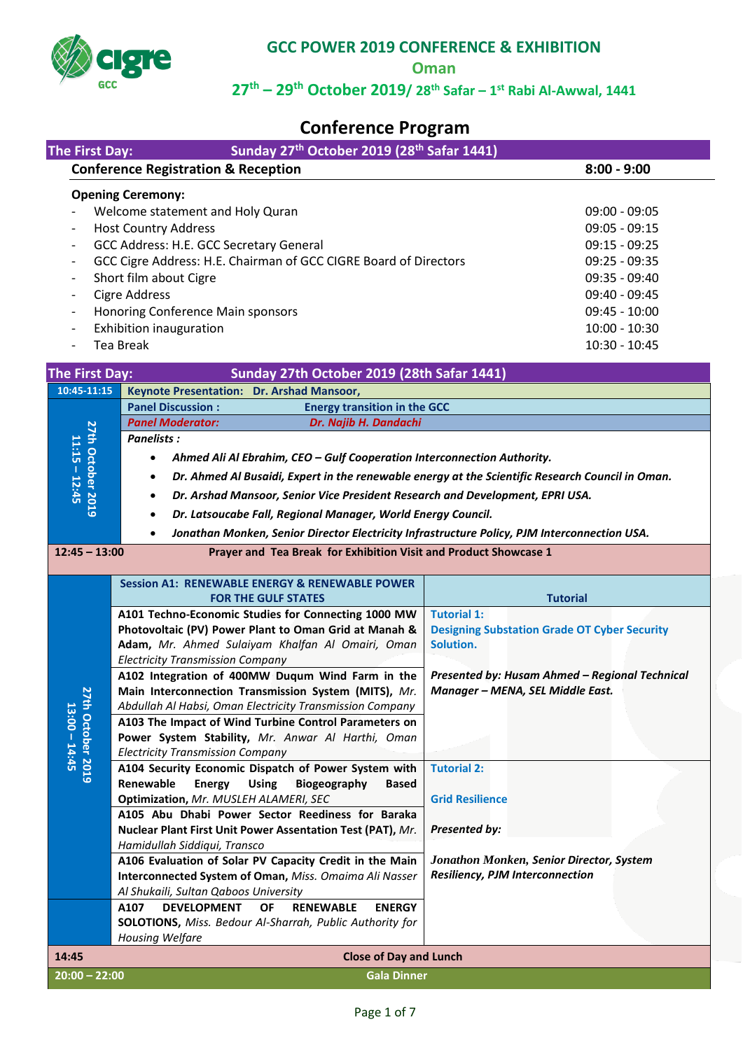

**Oman**

# **27th – 29th October 2019/ 28th Safar – 1 st Rabi Al-Awwal, 1441**

# **Conference Program**

| The First Day:                                                       | Sunday 27 <sup>th</sup> October 2019 (28 <sup>th</sup> Safar 1441)                                                                                                                                                                                                                                                                                                                                                                                                                                                                                                                                                                                                                                                                                                                                                                                                                                                                                                                                                                                                                            |                                                                                                                                                                                                                                                                                                                                                        |  |
|----------------------------------------------------------------------|-----------------------------------------------------------------------------------------------------------------------------------------------------------------------------------------------------------------------------------------------------------------------------------------------------------------------------------------------------------------------------------------------------------------------------------------------------------------------------------------------------------------------------------------------------------------------------------------------------------------------------------------------------------------------------------------------------------------------------------------------------------------------------------------------------------------------------------------------------------------------------------------------------------------------------------------------------------------------------------------------------------------------------------------------------------------------------------------------|--------------------------------------------------------------------------------------------------------------------------------------------------------------------------------------------------------------------------------------------------------------------------------------------------------------------------------------------------------|--|
|                                                                      | <b>Conference Registration &amp; Reception</b>                                                                                                                                                                                                                                                                                                                                                                                                                                                                                                                                                                                                                                                                                                                                                                                                                                                                                                                                                                                                                                                | $8:00 - 9:00$                                                                                                                                                                                                                                                                                                                                          |  |
| -<br>$\qquad \qquad \blacksquare$<br>$\qquad \qquad -$               | <b>Opening Ceremony:</b><br>Welcome statement and Holy Quran<br><b>Host Country Address</b><br>GCC Address: H.E. GCC Secretary General<br>GCC Cigre Address: H.E. Chairman of GCC CIGRE Board of Directors<br>Short film about Cigre<br><b>Cigre Address</b><br>Honoring Conference Main sponsors<br>Exhibition inauguration<br><b>Tea Break</b>                                                                                                                                                                                                                                                                                                                                                                                                                                                                                                                                                                                                                                                                                                                                              | $09:00 - 09:05$<br>$09:05 - 09:15$<br>$09:15 - 09:25$<br>$09:25 - 09:35$<br>09:35 - 09:40<br>09:40 - 09:45<br>$09:45 - 10:00$<br>$10:00 - 10:30$<br>10:30 - 10:45                                                                                                                                                                                      |  |
|                                                                      |                                                                                                                                                                                                                                                                                                                                                                                                                                                                                                                                                                                                                                                                                                                                                                                                                                                                                                                                                                                                                                                                                               |                                                                                                                                                                                                                                                                                                                                                        |  |
| <b>The First Day:</b>                                                | Sunday 27th October 2019 (28th Safar 1441)                                                                                                                                                                                                                                                                                                                                                                                                                                                                                                                                                                                                                                                                                                                                                                                                                                                                                                                                                                                                                                                    |                                                                                                                                                                                                                                                                                                                                                        |  |
| 10:45-11:15                                                          | Keynote Presentation: Dr. Arshad Mansoor,                                                                                                                                                                                                                                                                                                                                                                                                                                                                                                                                                                                                                                                                                                                                                                                                                                                                                                                                                                                                                                                     |                                                                                                                                                                                                                                                                                                                                                        |  |
|                                                                      | <b>Energy transition in the GCC</b><br><b>Panel Discussion:</b>                                                                                                                                                                                                                                                                                                                                                                                                                                                                                                                                                                                                                                                                                                                                                                                                                                                                                                                                                                                                                               |                                                                                                                                                                                                                                                                                                                                                        |  |
|                                                                      | <b>Panel Moderator:</b><br>Dr. Najib H. Dandachi                                                                                                                                                                                                                                                                                                                                                                                                                                                                                                                                                                                                                                                                                                                                                                                                                                                                                                                                                                                                                                              |                                                                                                                                                                                                                                                                                                                                                        |  |
| <b>27th October 2019</b><br>$11:15 - 12:45$                          | Panelists:                                                                                                                                                                                                                                                                                                                                                                                                                                                                                                                                                                                                                                                                                                                                                                                                                                                                                                                                                                                                                                                                                    |                                                                                                                                                                                                                                                                                                                                                        |  |
|                                                                      | Ahmed Ali Al Ebrahim, CEO - Gulf Cooperation Interconnection Authority.                                                                                                                                                                                                                                                                                                                                                                                                                                                                                                                                                                                                                                                                                                                                                                                                                                                                                                                                                                                                                       |                                                                                                                                                                                                                                                                                                                                                        |  |
|                                                                      | Dr. Ahmed Al Busaidi, Expert in the renewable energy at the Scientific Research Council in Oman.<br>$\bullet$                                                                                                                                                                                                                                                                                                                                                                                                                                                                                                                                                                                                                                                                                                                                                                                                                                                                                                                                                                                 |                                                                                                                                                                                                                                                                                                                                                        |  |
|                                                                      | Dr. Arshad Mansoor, Senior Vice President Research and Development, EPRI USA.<br>$\bullet$                                                                                                                                                                                                                                                                                                                                                                                                                                                                                                                                                                                                                                                                                                                                                                                                                                                                                                                                                                                                    |                                                                                                                                                                                                                                                                                                                                                        |  |
|                                                                      |                                                                                                                                                                                                                                                                                                                                                                                                                                                                                                                                                                                                                                                                                                                                                                                                                                                                                                                                                                                                                                                                                               |                                                                                                                                                                                                                                                                                                                                                        |  |
|                                                                      | Dr. Latsoucabe Fall, Regional Manager, World Energy Council.<br>$\bullet$                                                                                                                                                                                                                                                                                                                                                                                                                                                                                                                                                                                                                                                                                                                                                                                                                                                                                                                                                                                                                     |                                                                                                                                                                                                                                                                                                                                                        |  |
|                                                                      | Jonathan Monken, Senior Director Electricity Infrastructure Policy, PJM Interconnection USA.<br>$\bullet$                                                                                                                                                                                                                                                                                                                                                                                                                                                                                                                                                                                                                                                                                                                                                                                                                                                                                                                                                                                     |                                                                                                                                                                                                                                                                                                                                                        |  |
| $12:45 - 13:00$                                                      | Prayer and Tea Break for Exhibition Visit and Product Showcase 1                                                                                                                                                                                                                                                                                                                                                                                                                                                                                                                                                                                                                                                                                                                                                                                                                                                                                                                                                                                                                              |                                                                                                                                                                                                                                                                                                                                                        |  |
| $\overline{\mathbf{z}}$<br><b>th October 2019</b><br>$13:00 - 14:45$ | <b>Session A1: RENEWABLE ENERGY &amp; RENEWABLE POWER</b><br><b>FOR THE GULF STATES</b><br>A101 Techno-Economic Studies for Connecting 1000 MW<br>Photovoltaic (PV) Power Plant to Oman Grid at Manah &<br>Adam, Mr. Ahmed Sulaiyam Khalfan Al Omairi, Oman<br><b>Electricity Transmission Company</b><br>A102 Integration of 400MW Duqum Wind Farm in the<br>Main Interconnection Transmission System (MITS), Mr.<br>Abdullah Al Habsi, Oman Electricity Transmission Company<br>A103 The Impact of Wind Turbine Control Parameters on<br>Power System Stability, Mr. Anwar Al Harthi, Oman<br><b>Electricity Transmission Company</b><br>A104 Security Economic Dispatch of Power System with<br>Renewable<br><b>Energy</b><br><b>Using</b><br>Biogeography<br><b>Based</b><br>Optimization, Mr. MUSLEH ALAMERI, SEC<br>A105 Abu Dhabi Power Sector Reediness for Baraka<br>Nuclear Plant First Unit Power Assentation Test (PAT), Mr.<br>Hamidullah Siddiqui, Transco<br>A106 Evaluation of Solar PV Capacity Credit in the Main<br>Interconnected System of Oman, Miss. Omaima Ali Nasser | <b>Tutorial</b><br><b>Tutorial 1:</b><br><b>Designing Substation Grade OT Cyber Security</b><br>Solution.<br>Presented by: Husam Ahmed - Regional Technical<br>Manager - MENA, SEL Middle East.<br><b>Tutorial 2:</b><br><b>Grid Resilience</b><br><b>Presented by:</b><br>Jonathon Monken, Senior Director, System<br>Resiliency, PJM Interconnection |  |
|                                                                      | Al Shukaili, Sultan Qaboos University                                                                                                                                                                                                                                                                                                                                                                                                                                                                                                                                                                                                                                                                                                                                                                                                                                                                                                                                                                                                                                                         |                                                                                                                                                                                                                                                                                                                                                        |  |
|                                                                      | <b>DEVELOPMENT</b><br><b>RENEWABLE</b><br><b>ENERGY</b><br>A107<br><b>OF</b>                                                                                                                                                                                                                                                                                                                                                                                                                                                                                                                                                                                                                                                                                                                                                                                                                                                                                                                                                                                                                  |                                                                                                                                                                                                                                                                                                                                                        |  |
|                                                                      | SOLOTIONS, Miss. Bedour Al-Sharrah, Public Authority for                                                                                                                                                                                                                                                                                                                                                                                                                                                                                                                                                                                                                                                                                                                                                                                                                                                                                                                                                                                                                                      |                                                                                                                                                                                                                                                                                                                                                        |  |
|                                                                      | <b>Housing Welfare</b>                                                                                                                                                                                                                                                                                                                                                                                                                                                                                                                                                                                                                                                                                                                                                                                                                                                                                                                                                                                                                                                                        |                                                                                                                                                                                                                                                                                                                                                        |  |
| 14:45                                                                | <b>Close of Day and Lunch</b>                                                                                                                                                                                                                                                                                                                                                                                                                                                                                                                                                                                                                                                                                                                                                                                                                                                                                                                                                                                                                                                                 |                                                                                                                                                                                                                                                                                                                                                        |  |
| $20:00 - 22:00$                                                      | <b>Gala Dinner</b>                                                                                                                                                                                                                                                                                                                                                                                                                                                                                                                                                                                                                                                                                                                                                                                                                                                                                                                                                                                                                                                                            |                                                                                                                                                                                                                                                                                                                                                        |  |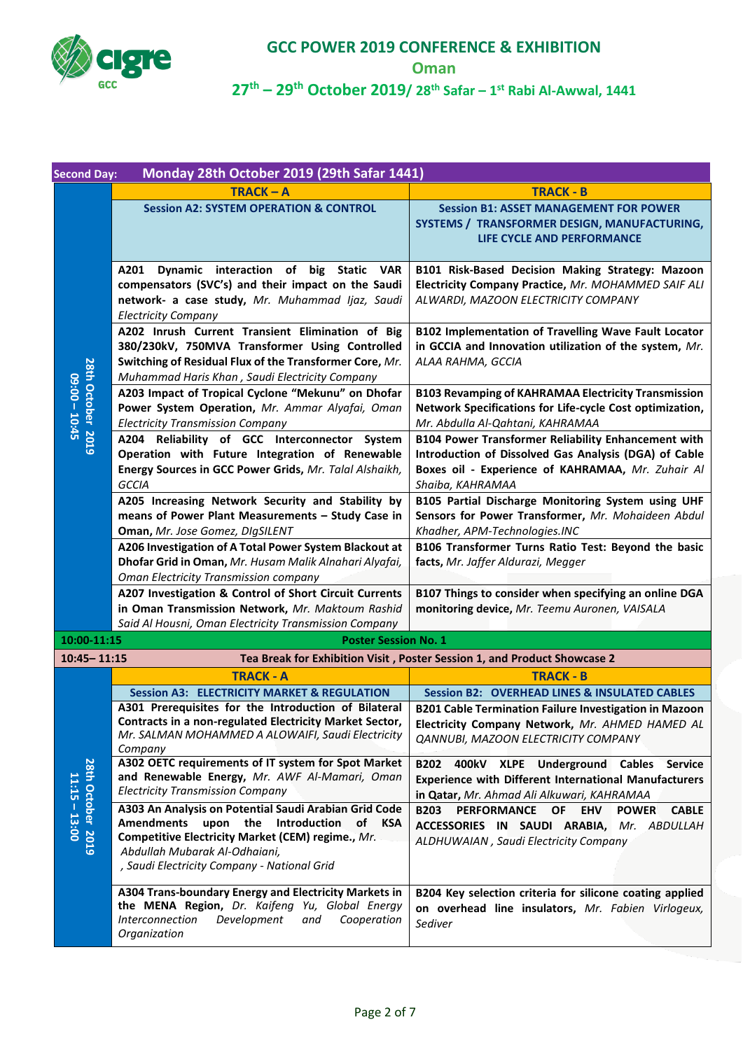

**Oman**

| <b>Second Day:</b>                   | Monday 28th October 2019 (29th Safar 1441)                                                                                                                                                                                               |                                                                                                                                                                                              |
|--------------------------------------|------------------------------------------------------------------------------------------------------------------------------------------------------------------------------------------------------------------------------------------|----------------------------------------------------------------------------------------------------------------------------------------------------------------------------------------------|
|                                      | $TRACK - A$                                                                                                                                                                                                                              | <b>TRACK - B</b>                                                                                                                                                                             |
|                                      | <b>Session A2: SYSTEM OPERATION &amp; CONTROL</b>                                                                                                                                                                                        | <b>Session B1: ASSET MANAGEMENT FOR POWER</b><br>SYSTEMS / TRANSFORMER DESIGN, MANUFACTURING,<br>LIFE CYCLE AND PERFORMANCE                                                                  |
|                                      | Dynamic interaction of big Static VAR<br>A201<br>compensators (SVC's) and their impact on the Saudi<br>network- a case study, Mr. Muhammad Ijaz, Saudi<br><b>Electricity Company</b>                                                     | B101 Risk-Based Decision Making Strategy: Mazoon<br>Electricity Company Practice, Mr. MOHAMMED SAIF ALI<br>ALWARDI, MAZOON ELECTRICITY COMPANY                                               |
|                                      | A202 Inrush Current Transient Elimination of Big<br>380/230kV, 750MVA Transformer Using Controlled<br>Switching of Residual Flux of the Transformer Core, Mr.<br>Muhammad Haris Khan, Saudi Electricity Company                          | B102 Implementation of Travelling Wave Fault Locator<br>in GCCIA and Innovation utilization of the system, Mr.<br>ALAA RAHMA, GCCIA                                                          |
| 28th October 2019<br>$09:00 - 10:45$ | A203 Impact of Tropical Cyclone "Mekunu" on Dhofar<br>Power System Operation, Mr. Ammar Alyafai, Oman<br><b>Electricity Transmission Company</b>                                                                                         | <b>B103 Revamping of KAHRAMAA Electricity Transmission</b><br>Network Specifications for Life-cycle Cost optimization,<br>Mr. Abdulla Al-Qahtani, KAHRAMAA                                   |
|                                      | A204 Reliability of GCC Interconnector System<br>Operation with Future Integration of Renewable<br>Energy Sources in GCC Power Grids, Mr. Talal Alshaikh,<br>GCCIA                                                                       | <b>B104 Power Transformer Reliability Enhancement with</b><br>Introduction of Dissolved Gas Analysis (DGA) of Cable<br>Boxes oil - Experience of KAHRAMAA, Mr. Zuhair Al<br>Shaiba, KAHRAMAA |
|                                      | A205 Increasing Network Security and Stability by<br>means of Power Plant Measurements - Study Case in<br>Oman, Mr. Jose Gomez, DIgSILENT                                                                                                | B105 Partial Discharge Monitoring System using UHF<br>Sensors for Power Transformer, Mr. Mohaideen Abdul<br>Khadher, APM-Technologies.INC                                                    |
|                                      | A206 Investigation of A Total Power System Blackout at<br>Dhofar Grid in Oman, Mr. Husam Malik Alnahari Alyafai,<br>Oman Electricity Transmission company                                                                                | B106 Transformer Turns Ratio Test: Beyond the basic<br>facts, Mr. Jaffer Aldurazi, Megger                                                                                                    |
|                                      | A207 Investigation & Control of Short Circuit Currents<br>in Oman Transmission Network, Mr. Maktoum Rashid<br>Said Al Housni, Oman Electricity Transmission Company                                                                      | B107 Things to consider when specifying an online DGA<br>monitoring device, Mr. Teemu Auronen, VAISALA                                                                                       |
| 10:00-11:15                          | <b>Poster Session No. 1</b>                                                                                                                                                                                                              |                                                                                                                                                                                              |
| $10:45 - 11:15$                      |                                                                                                                                                                                                                                          | Tea Break for Exhibition Visit, Poster Session 1, and Product Showcase 2                                                                                                                     |
|                                      | <b>TRACK - A</b>                                                                                                                                                                                                                         | <b>TRACK - B</b>                                                                                                                                                                             |
|                                      | <b>Session A3: ELECTRICITY MARKET &amp; REGULATION</b>                                                                                                                                                                                   | <b>Session B2: OVERHEAD LINES &amp; INSULATED CABLES</b>                                                                                                                                     |
|                                      | A301 Prerequisites for the Introduction of Bilateral<br>Contracts in a non-regulated Electricity Market Sector,<br>Mr. SALMAN MOHAMMED A ALOWAIFI, Saudi Electricity<br>Company                                                          | <b>B201 Cable Termination Failure Investigation in Mazoon</b><br>Electricity Company Network, Mr. AHMED HAMED AL<br>QANNUBI, MAZOON ELECTRICITY COMPANY                                      |
|                                      | A302 OETC requirements of IT system for Spot Market<br>and Renewable Energy, Mr. AWF Al-Mamari, Oman<br><b>Electricity Transmission Company</b>                                                                                          | B202 400kV XLPE Underground Cables Service<br><b>Experience with Different International Manufacturers</b><br>in Qatar, Mr. Ahmad Ali Alkuwari, KAHRAMAA                                     |
| 28th October 2019<br>$11:15 - 13:00$ | A303 An Analysis on Potential Saudi Arabian Grid Code<br>Amendments upon the Introduction<br>of KSA<br>Competitive Electricity Market (CEM) regime., Mr.<br>Abdullah Mubarak Al-Odhaiani,<br>, Saudi Electricity Company - National Grid | <b>CABLE</b><br><b>B203</b><br><b>PERFORMANCE OF</b><br><b>EHV POWER</b><br>ACCESSORIES IN SAUDI ARABIA, Mr. ABDULLAH<br>ALDHUWAIAN, Saudi Electricity Company                               |
|                                      | A304 Trans-boundary Energy and Electricity Markets in<br>the MENA Region, Dr. Kaifeng Yu, Global Energy<br>Development<br>Cooperation<br>Interconnection<br>and<br>Organization                                                          | B204 Key selection criteria for silicone coating applied<br>on overhead line insulators, Mr. Fabien Virlogeux,<br>Sediver                                                                    |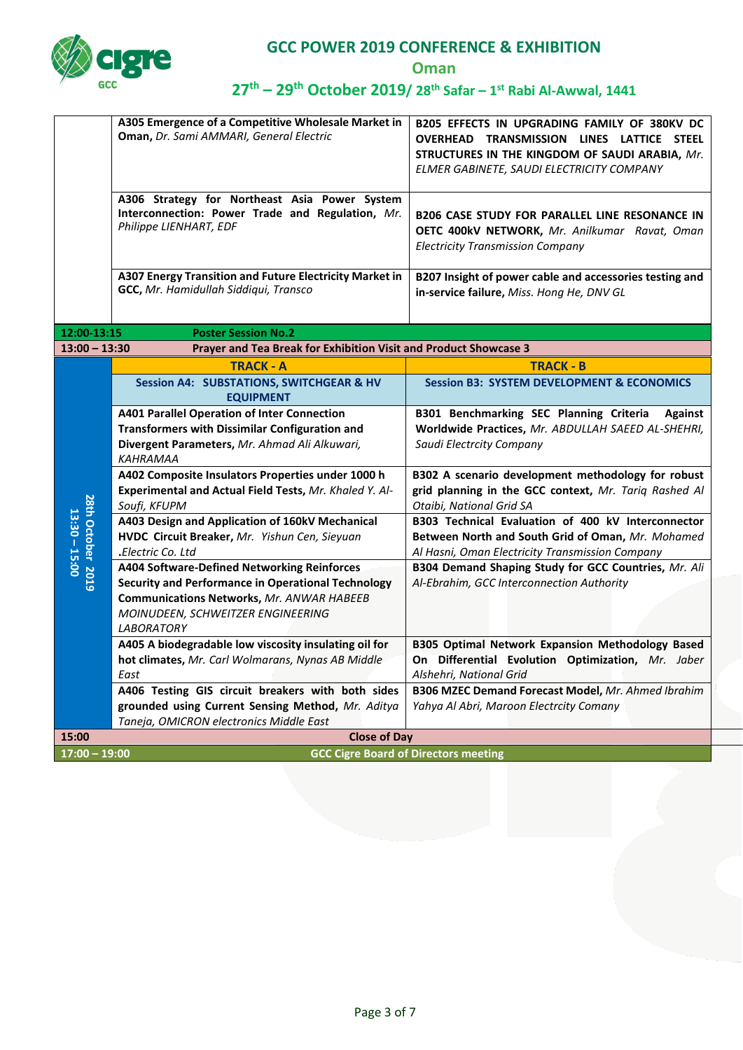

**Oman**

|                                      | A305 Emergence of a Competitive Wholesale Market in<br>Oman, Dr. Sami AMMARI, General Electric                              | B205 EFFECTS IN UPGRADING FAMILY OF 380KV DC<br>OVERHEAD TRANSMISSION LINES LATTICE STEEL<br>STRUCTURES IN THE KINGDOM OF SAUDI ARABIA, Mr.<br>ELMER GABINETE, SAUDI ELECTRICITY COMPANY |
|--------------------------------------|-----------------------------------------------------------------------------------------------------------------------------|------------------------------------------------------------------------------------------------------------------------------------------------------------------------------------------|
|                                      | A306 Strategy for Northeast Asia Power System<br>Interconnection: Power Trade and Regulation, Mr.<br>Philippe LIENHART, EDF | <b>B206 CASE STUDY FOR PARALLEL LINE RESONANCE IN</b><br>OETC 400kV NETWORK, Mr. Anilkumar Ravat, Oman<br><b>Electricity Transmission Company</b>                                        |
|                                      | A307 Energy Transition and Future Electricity Market in<br>GCC, Mr. Hamidullah Siddiqui, Transco                            | B207 Insight of power cable and accessories testing and<br>in-service failure, Miss. Hong He, DNV GL                                                                                     |
| 12:00-13:15                          | <b>Poster Session No.2</b>                                                                                                  |                                                                                                                                                                                          |
| $13:00 - 13:30$                      | Prayer and Tea Break for Exhibition Visit and Product Showcase 3                                                            |                                                                                                                                                                                          |
|                                      | <b>TRACK - A</b>                                                                                                            | <b>TRACK - B</b>                                                                                                                                                                         |
|                                      | <b>Session A4: SUBSTATIONS, SWITCHGEAR &amp; HV</b><br><b>EQUIPMENT</b>                                                     | <b>Session B3: SYSTEM DEVELOPMENT &amp; ECONOMICS</b>                                                                                                                                    |
|                                      | <b>A401 Parallel Operation of Inter Connection</b>                                                                          | B301 Benchmarking SEC Planning Criteria<br><b>Against</b>                                                                                                                                |
|                                      | <b>Transformers with Dissimilar Configuration and</b>                                                                       | Worldwide Practices, Mr. ABDULLAH SAEED AL-SHEHRI,                                                                                                                                       |
|                                      | Divergent Parameters, Mr. Ahmad Ali Alkuwari,<br><b>KAHRAMAA</b>                                                            | Saudi Electrcity Company                                                                                                                                                                 |
|                                      | A402 Composite Insulators Properties under 1000 h                                                                           | B302 A scenario development methodology for robust                                                                                                                                       |
|                                      | Experimental and Actual Field Tests, Mr. Khaled Y. Al-<br>Soufi, KFUPM                                                      | grid planning in the GCC context, Mr. Tariq Rashed Al<br>Otaibi, National Grid SA                                                                                                        |
| 28th October 2019<br>$13:30 - 15:00$ | A403 Design and Application of 160kV Mechanical<br>HVDC Circuit Breaker, Mr. Yishun Cen, Sieyuan<br>Electric Co. Ltd.       | B303 Technical Evaluation of 400 kV Interconnector<br>Between North and South Grid of Oman, Mr. Mohamed<br>Al Hasni, Oman Electricity Transmission Company                               |
|                                      | A404 Software-Defined Networking Reinforces                                                                                 | B304 Demand Shaping Study for GCC Countries, Mr. Ali                                                                                                                                     |
|                                      | <b>Security and Performance in Operational Technology</b>                                                                   | Al-Ebrahim, GCC Interconnection Authority                                                                                                                                                |
|                                      | <b>Communications Networks, Mr. ANWAR HABEEB</b>                                                                            |                                                                                                                                                                                          |
|                                      | MOINUDEEN, SCHWEITZER ENGINEERING                                                                                           |                                                                                                                                                                                          |
|                                      | <b>LABORATORY</b>                                                                                                           |                                                                                                                                                                                          |
|                                      | A405 A biodegradable low viscosity insulating oil for                                                                       | B305 Optimal Network Expansion Methodology Based                                                                                                                                         |
|                                      | hot climates, Mr. Carl Wolmarans, Nynas AB Middle                                                                           | On Differential Evolution Optimization, Mr. Jaber                                                                                                                                        |
|                                      | East                                                                                                                        | Alshehri, National Grid                                                                                                                                                                  |
|                                      | A406 Testing GIS circuit breakers with both sides                                                                           | B306 MZEC Demand Forecast Model, Mr. Ahmed Ibrahim                                                                                                                                       |
|                                      | grounded using Current Sensing Method, Mr. Aditya                                                                           | Yahya Al Abri, Maroon Electrcity Comany                                                                                                                                                  |
| 15:00                                | Taneja, OMICRON electronics Middle East<br><b>Close of Day</b>                                                              |                                                                                                                                                                                          |
| $17:00 - 19:00$                      |                                                                                                                             | <b>GCC Cigre Board of Directors meeting</b>                                                                                                                                              |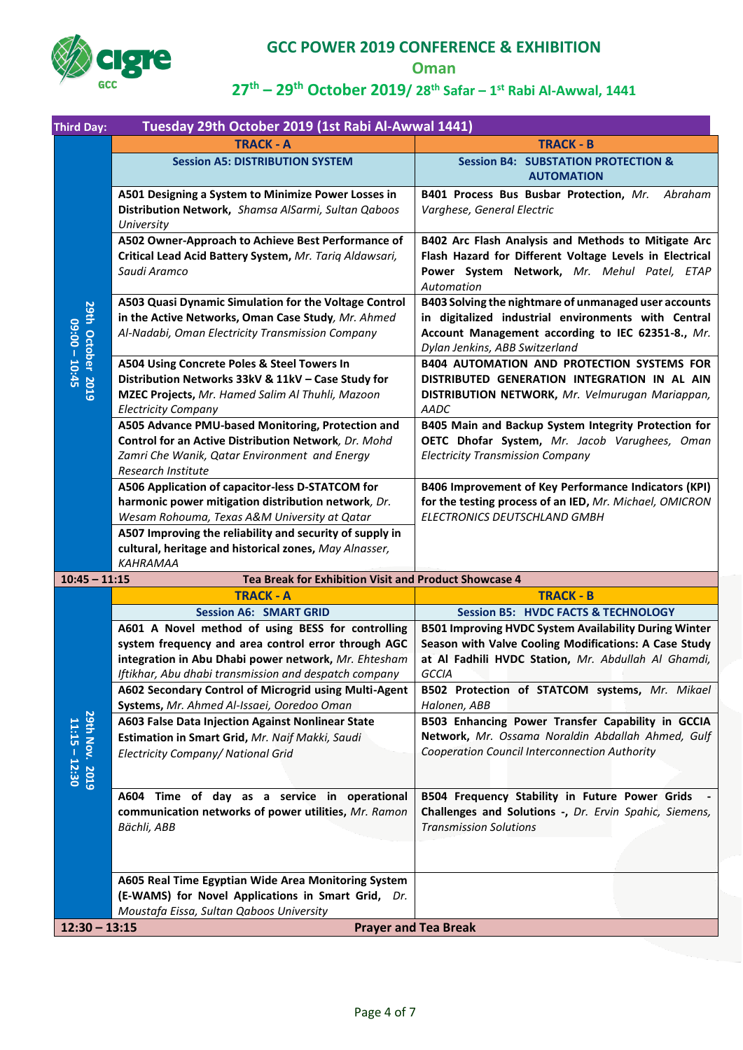

**Oman**

| <b>Third Day:</b>                    | Tuesday 29th October 2019 (1st Rabi Al-Awwal 1441)                                                                                                                                                                                                                                               |                                                                                                                                                                                                     |
|--------------------------------------|--------------------------------------------------------------------------------------------------------------------------------------------------------------------------------------------------------------------------------------------------------------------------------------------------|-----------------------------------------------------------------------------------------------------------------------------------------------------------------------------------------------------|
|                                      | <b>TRACK - A</b>                                                                                                                                                                                                                                                                                 | <b>TRACK - B</b>                                                                                                                                                                                    |
|                                      | <b>Session A5: DISTRIBUTION SYSTEM</b>                                                                                                                                                                                                                                                           | <b>Session B4: SUBSTATION PROTECTION &amp;</b><br><b>AUTOMATION</b>                                                                                                                                 |
|                                      | A501 Designing a System to Minimize Power Losses in<br>Distribution Network, Shamsa AlSarmi, Sultan Qaboos<br>University                                                                                                                                                                         | B401 Process Bus Busbar Protection, Mr.<br>Abraham<br>Varghese, General Electric                                                                                                                    |
|                                      | A502 Owner-Approach to Achieve Best Performance of<br>Critical Lead Acid Battery System, Mr. Tariq Aldawsari,<br>Saudi Aramco                                                                                                                                                                    | B402 Arc Flash Analysis and Methods to Mitigate Arc<br>Flash Hazard for Different Voltage Levels in Electrical<br>Power System Network, Mr. Mehul Patel, ETAP<br>Automation                         |
| 29th October 2019<br>$09:00 - 10:45$ | A503 Quasi Dynamic Simulation for the Voltage Control<br>in the Active Networks, Oman Case Study, Mr. Ahmed<br>Al-Nadabi, Oman Electricity Transmission Company                                                                                                                                  | B403 Solving the nightmare of unmanaged user accounts<br>in digitalized industrial environments with Central<br>Account Management according to IEC 62351-8., Mr.<br>Dylan Jenkins, ABB Switzerland |
|                                      | A504 Using Concrete Poles & Steel Towers In<br>Distribution Networks 33kV & 11kV - Case Study for<br>MZEC Projects, Mr. Hamed Salim Al Thuhli, Mazoon<br><b>Electricity Company</b>                                                                                                              | <b>B404 AUTOMATION AND PROTECTION SYSTEMS FOR</b><br>DISTRIBUTED GENERATION INTEGRATION IN AL AIN<br>DISTRIBUTION NETWORK, Mr. Velmurugan Mariappan,<br>AADC                                        |
|                                      | A505 Advance PMU-based Monitoring, Protection and<br>Control for an Active Distribution Network, Dr. Mohd<br>Zamri Che Wanik, Qatar Environment and Energy<br>Research Institute                                                                                                                 | B405 Main and Backup System Integrity Protection for<br>OETC Dhofar System, Mr. Jacob Varughees, Oman<br><b>Electricity Transmission Company</b>                                                    |
|                                      | A506 Application of capacitor-less D-STATCOM for<br>harmonic power mitigation distribution network, Dr.<br>Wesam Rohouma, Texas A&M University at Qatar<br>A507 Improving the reliability and security of supply in<br>cultural, heritage and historical zones, May Alnasser,<br><b>KAHRAMAA</b> | B406 Improvement of Key Performance Indicators (KPI)<br>for the testing process of an IED, Mr. Michael, OMICRON<br>ELECTRONICS DEUTSCHLAND GMBH                                                     |
| $10:45 - 11:15$                      | Tea Break for Exhibition Visit and Product Showcase 4                                                                                                                                                                                                                                            |                                                                                                                                                                                                     |
|                                      | <b>TRACK - A</b>                                                                                                                                                                                                                                                                                 | <b>TRACK - B</b>                                                                                                                                                                                    |
|                                      | <b>Session A6: SMART GRID</b>                                                                                                                                                                                                                                                                    | <b>Session B5: HVDC FACTS &amp; TECHNOLOGY</b>                                                                                                                                                      |
|                                      | A601 A Novel method of using BESS for controlling<br>system frequency and area control error through AGC<br>integration in Abu Dhabi power network, Mr. Ehtesham<br>Iftikhar, Abu dhabi transmission and despatch company                                                                        | <b>B501 Improving HVDC System Availability During Winter</b><br>Season with Valve Cooling Modifications: A Case Study<br>at Al Fadhili HVDC Station, Mr. Abdullah Al Ghamdi,<br>GCCIA               |
| 29th Nov. 2019<br>11:15 - 12:30      | A602 Secondary Control of Microgrid using Multi-Agent<br>Systems, Mr. Ahmed Al-Issaei, Ooredoo Oman                                                                                                                                                                                              | B502 Protection of STATCOM systems, Mr. Mikael<br>Halonen, ABB                                                                                                                                      |
|                                      | A603 False Data Injection Against Nonlinear State<br>Estimation in Smart Grid, Mr. Naif Makki, Saudi<br>Electricity Company/ National Grid                                                                                                                                                       | B503 Enhancing Power Transfer Capability in GCCIA<br>Network, Mr. Ossama Noraldin Abdallah Ahmed, Gulf<br>Cooperation Council Interconnection Authority                                             |
|                                      | A604 Time of day as a service in operational<br>communication networks of power utilities, Mr. Ramon<br>Bächli, ABB                                                                                                                                                                              | B504 Frequency Stability in Future Power Grids<br>Challenges and Solutions -, Dr. Ervin Spahic, Siemens,<br><b>Transmission Solutions</b>                                                           |
|                                      | A605 Real Time Egyptian Wide Area Monitoring System<br>(E-WAMS) for Novel Applications in Smart Grid, Dr.<br>Moustafa Eissa, Sultan Qaboos University                                                                                                                                            |                                                                                                                                                                                                     |
| $12:30 - 13:15$                      |                                                                                                                                                                                                                                                                                                  | <b>Prayer and Tea Break</b>                                                                                                                                                                         |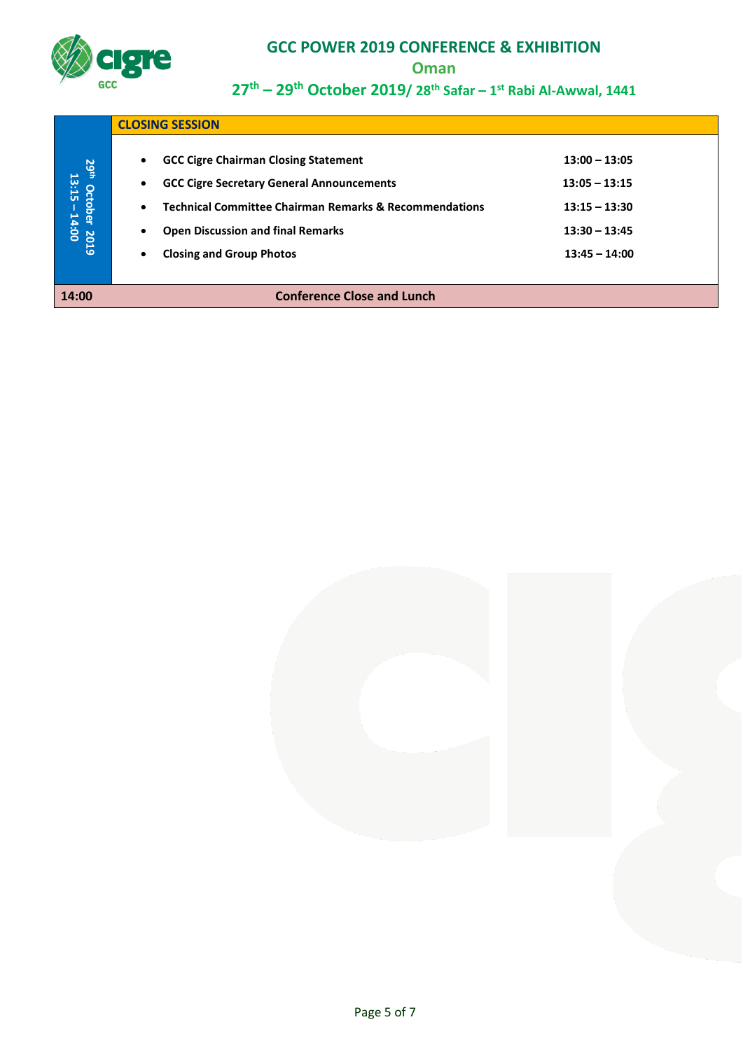

**Oman**

|                                                             |                                                  | <b>CLOSING SESSION</b>                                                                                                                                                                                                                              |                                                                                             |  |
|-------------------------------------------------------------|--------------------------------------------------|-----------------------------------------------------------------------------------------------------------------------------------------------------------------------------------------------------------------------------------------------------|---------------------------------------------------------------------------------------------|--|
| <b>29th</b><br><sup>9th</sup> October 2019<br>13:15 – 14:00 | $\bullet$<br>$\bullet$<br>$\bullet$<br>$\bullet$ | <b>GCC Cigre Chairman Closing Statement</b><br><b>GCC Cigre Secretary General Announcements</b><br><b>Technical Committee Chairman Remarks &amp; Recommendations</b><br><b>Open Discussion and final Remarks</b><br><b>Closing and Group Photos</b> | $13:00 - 13:05$<br>$13:05 - 13:15$<br>$13:15 - 13:30$<br>$13:30 - 13:45$<br>$13:45 - 14:00$ |  |
| 14:00                                                       |                                                  | <b>Conference Close and Lunch</b>                                                                                                                                                                                                                   |                                                                                             |  |

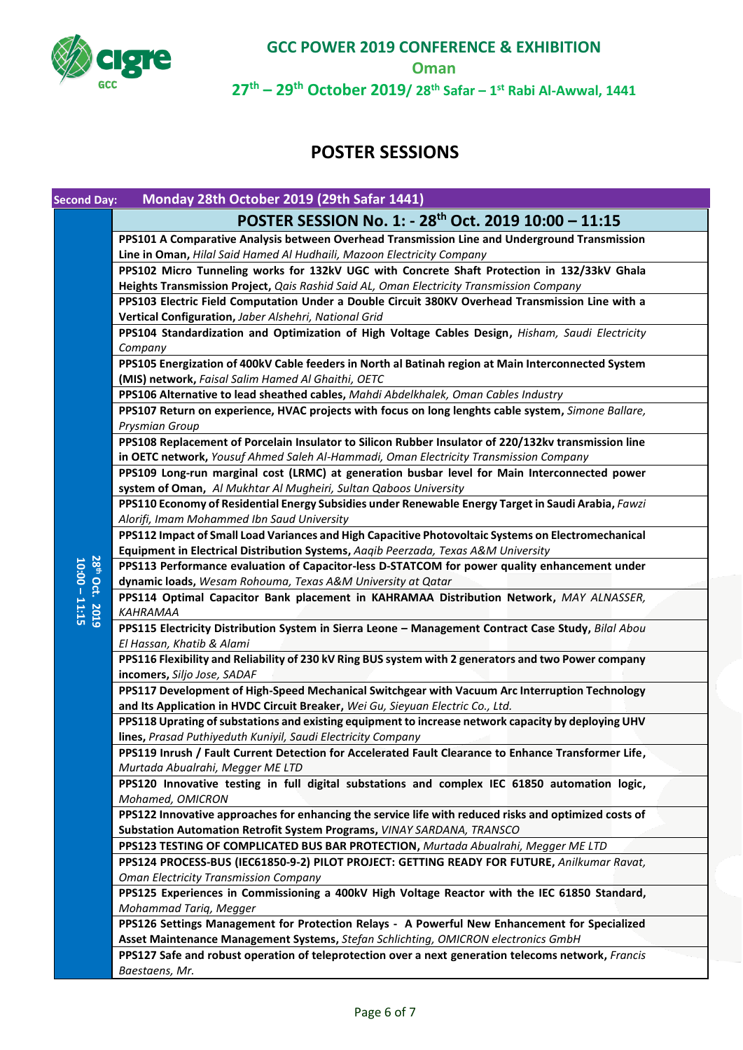

**Oman**

**27th – 29th October 2019/ 28th Safar – 1 st Rabi Al-Awwal, 1441**

# **POSTER SESSIONS**

| <b>Second Day:</b> | Monday 28th October 2019 (29th Safar 1441)                                                                                                                |
|--------------------|-----------------------------------------------------------------------------------------------------------------------------------------------------------|
|                    | POSTER SESSION No. 1: - 28 <sup>th</sup> Oct. 2019 10:00 - 11:15                                                                                          |
|                    | PPS101 A Comparative Analysis between Overhead Transmission Line and Underground Transmission                                                             |
|                    | Line in Oman, Hilal Said Hamed Al Hudhaili, Mazoon Electricity Company                                                                                    |
|                    | PPS102 Micro Tunneling works for 132kV UGC with Concrete Shaft Protection in 132/33kV Ghala                                                               |
|                    | Heights Transmission Project, Qais Rashid Said AL, Oman Electricity Transmission Company                                                                  |
|                    | PPS103 Electric Field Computation Under a Double Circuit 380KV Overhead Transmission Line with a                                                          |
|                    | Vertical Configuration, Jaber Alshehri, National Grid                                                                                                     |
|                    | PPS104 Standardization and Optimization of High Voltage Cables Design, Hisham, Saudi Electricity                                                          |
|                    | Company                                                                                                                                                   |
|                    | PPS105 Energization of 400kV Cable feeders in North al Batinah region at Main Interconnected System<br>(MIS) network, Faisal Salim Hamed Al Ghaithi, OETC |
|                    | PPS106 Alternative to lead sheathed cables, Mahdi Abdelkhalek, Oman Cables Industry                                                                       |
|                    | PPS107 Return on experience, HVAC projects with focus on long lenghts cable system, Simone Ballare,                                                       |
|                    | Prysmian Group                                                                                                                                            |
|                    | PPS108 Replacement of Porcelain Insulator to Silicon Rubber Insulator of 220/132kv transmission line                                                      |
|                    | in OETC network, Yousuf Ahmed Saleh Al-Hammadi, Oman Electricity Transmission Company                                                                     |
|                    | PPS109 Long-run marginal cost (LRMC) at generation busbar level for Main Interconnected power                                                             |
|                    | system of Oman, Al Mukhtar Al Mugheiri, Sultan Qaboos University                                                                                          |
|                    | PPS110 Economy of Residential Energy Subsidies under Renewable Energy Target in Saudi Arabia, Fawzi                                                       |
|                    | Alorifi, Imam Mohammed Ibn Saud University                                                                                                                |
|                    | PPS112 Impact of Small Load Variances and High Capacitive Photovoltaic Systems on Electromechanical                                                       |
|                    | Equipment in Electrical Distribution Systems, Aaqib Peerzada, Texas A&M University                                                                        |
| <b>28th</b>        | PPS113 Performance evaluation of Capacitor-less D-STATCOM for power quality enhancement under                                                             |
| Oct.               | dynamic loads, Wesam Rohouma, Texas A&M University at Qatar                                                                                               |
| $10:00 - 11:15$    | PPS114 Optimal Capacitor Bank placement in KAHRAMAA Distribution Network, MAY ALNASSER,                                                                   |
| 2019               | <b>KAHRAMAA</b>                                                                                                                                           |
|                    | PPS115 Electricity Distribution System in Sierra Leone - Management Contract Case Study, Bilal Abou                                                       |
|                    | El Hassan, Khatib & Alami<br>PPS116 Flexibility and Reliability of 230 kV Ring BUS system with 2 generators and two Power company                         |
|                    | incomers, Siljo Jose, SADAF                                                                                                                               |
|                    | PPS117 Development of High-Speed Mechanical Switchgear with Vacuum Arc Interruption Technology                                                            |
|                    | and Its Application in HVDC Circuit Breaker, Wei Gu, Sieyuan Electric Co., Ltd.                                                                           |
|                    | PPS118 Uprating of substations and existing equipment to increase network capacity by deploying UHV                                                       |
|                    | lines, Prasad Puthiyeduth Kuniyil, Saudi Electricity Company                                                                                              |
|                    | PPS119 Inrush / Fault Current Detection for Accelerated Fault Clearance to Enhance Transformer Life,                                                      |
|                    | Murtada Abualrahi, Megger ME LTD                                                                                                                          |
|                    | PPS120 Innovative testing in full digital substations and complex IEC 61850 automation logic,                                                             |
|                    | Mohamed, OMICRON                                                                                                                                          |
|                    | PPS122 Innovative approaches for enhancing the service life with reduced risks and optimized costs of                                                     |
|                    | Substation Automation Retrofit System Programs, VINAY SARDANA, TRANSCO                                                                                    |
|                    | PPS123 TESTING OF COMPLICATED BUS BAR PROTECTION, Murtada Abualrahi, Megger ME LTD                                                                        |
|                    | PPS124 PROCESS-BUS (IEC61850-9-2) PILOT PROJECT: GETTING READY FOR FUTURE, Anilkumar Ravat,                                                               |
|                    | <b>Oman Electricity Transmission Company</b>                                                                                                              |
|                    | PPS125 Experiences in Commissioning a 400kV High Voltage Reactor with the IEC 61850 Standard,                                                             |
|                    | Mohammad Tariq, Megger<br>PPS126 Settings Management for Protection Relays - A Powerful New Enhancement for Specialized                                   |
|                    | Asset Maintenance Management Systems, Stefan Schlichting, OMICRON electronics GmbH                                                                        |
|                    | PPS127 Safe and robust operation of teleprotection over a next generation telecoms network, Francis                                                       |
|                    | Baestaens, Mr.                                                                                                                                            |
|                    |                                                                                                                                                           |